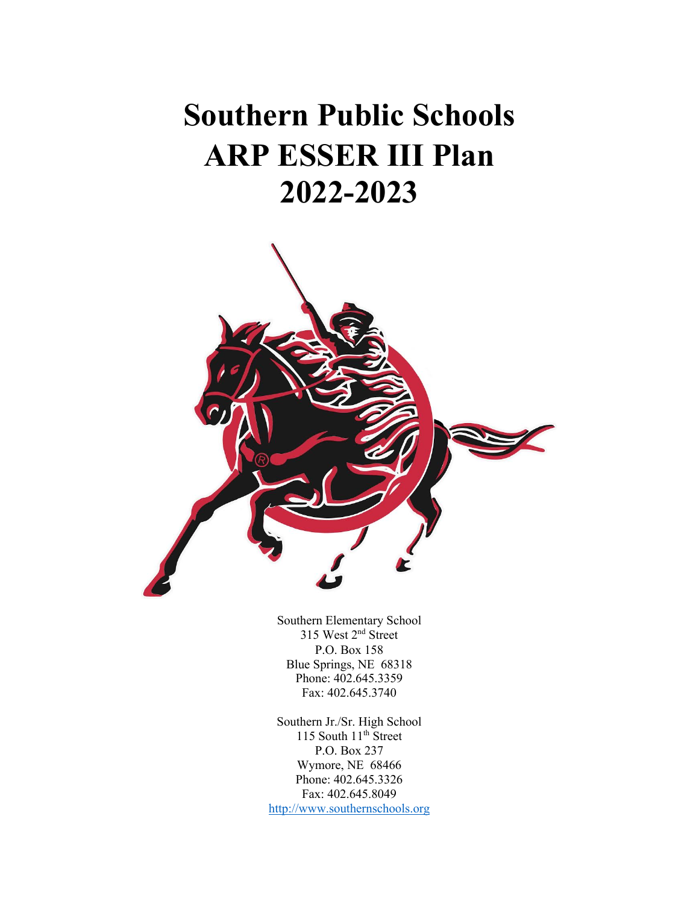# **Southern Public Schools ARP ESSER III Plan 2022-2023**



Southern Elementary School 315 West 2<sup>nd</sup> Street P.O. Box 158 Blue Springs, NE 68318 Phone: 402.645.3359 Fax: 402.645.3740

Southern Jr./Sr. High School 115 South  $11^{th}$  Street P.O. Box 237 Wymore, NE 68466 Phone: 402.645.3326 Fax: 402.645.8049 http://www.southernschools.org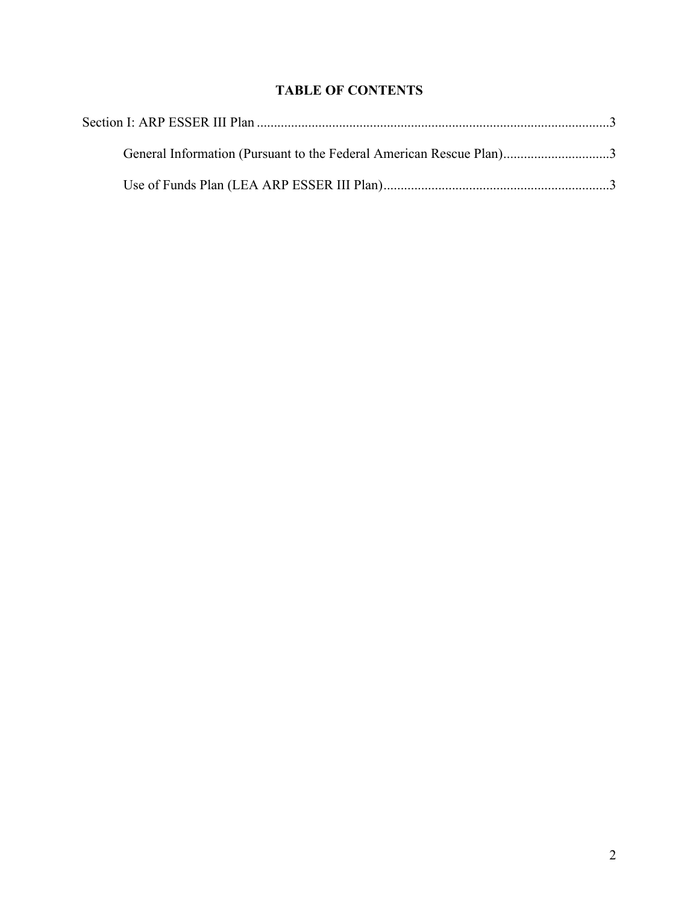## **TABLE OF CONTENTS**

| General Information (Pursuant to the Federal American Rescue Plan)3 |
|---------------------------------------------------------------------|
|                                                                     |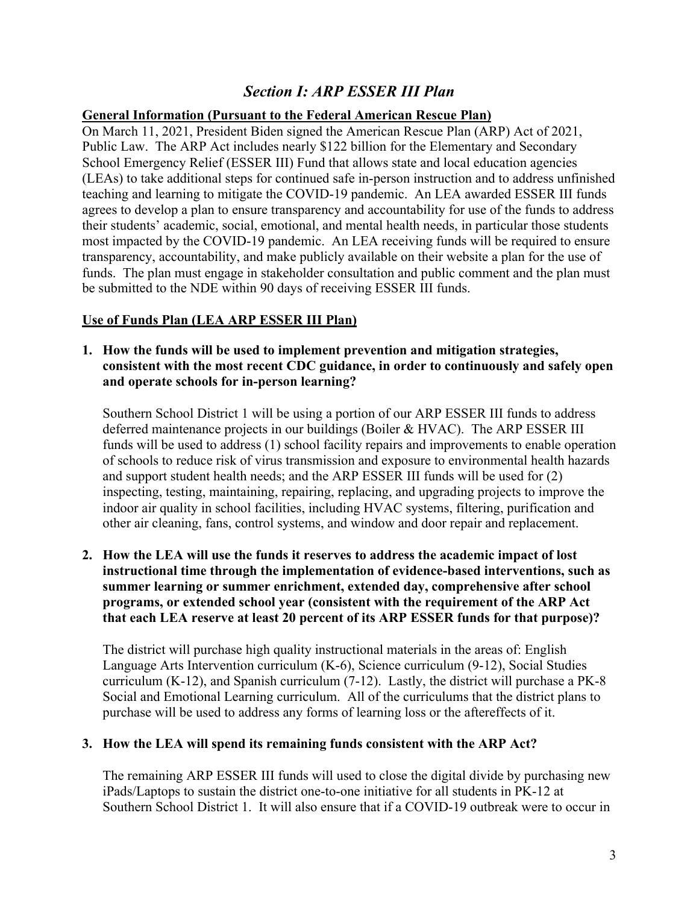## *Section I: ARP ESSER III Plan*

#### **General Information (Pursuant to the Federal American Rescue Plan)**

On March 11, 2021, President Biden signed the American Rescue Plan (ARP) Act of 2021, Public Law. The ARP Act includes nearly \$122 billion for the Elementary and Secondary School Emergency Relief (ESSER III) Fund that allows state and local education agencies (LEAs) to take additional steps for continued safe in-person instruction and to address unfinished teaching and learning to mitigate the COVID-19 pandemic. An LEA awarded ESSER III funds agrees to develop a plan to ensure transparency and accountability for use of the funds to address their students' academic, social, emotional, and mental health needs, in particular those students most impacted by the COVID-19 pandemic. An LEA receiving funds will be required to ensure transparency, accountability, and make publicly available on their website a plan for the use of funds. The plan must engage in stakeholder consultation and public comment and the plan must be submitted to the NDE within 90 days of receiving ESSER III funds.

### **Use of Funds Plan (LEA ARP ESSER III Plan)**

**1. How the funds will be used to implement prevention and mitigation strategies, consistent with the most recent CDC guidance, in order to continuously and safely open and operate schools for in-person learning?**

Southern School District 1 will be using a portion of our ARP ESSER III funds to address deferred maintenance projects in our buildings (Boiler & HVAC). The ARP ESSER III funds will be used to address (1) school facility repairs and improvements to enable operation of schools to reduce risk of virus transmission and exposure to environmental health hazards and support student health needs; and the ARP ESSER III funds will be used for (2) inspecting, testing, maintaining, repairing, replacing, and upgrading projects to improve the indoor air quality in school facilities, including HVAC systems, filtering, purification and other air cleaning, fans, control systems, and window and door repair and replacement.

**2. How the LEA will use the funds it reserves to address the academic impact of lost instructional time through the implementation of evidence-based interventions, such as summer learning or summer enrichment, extended day, comprehensive after school programs, or extended school year (consistent with the requirement of the ARP Act that each LEA reserve at least 20 percent of its ARP ESSER funds for that purpose)?**

The district will purchase high quality instructional materials in the areas of: English Language Arts Intervention curriculum (K-6), Science curriculum (9-12), Social Studies curriculum (K-12), and Spanish curriculum (7-12). Lastly, the district will purchase a PK-8 Social and Emotional Learning curriculum. All of the curriculums that the district plans to purchase will be used to address any forms of learning loss or the aftereffects of it.

#### **3. How the LEA will spend its remaining funds consistent with the ARP Act?**

The remaining ARP ESSER III funds will used to close the digital divide by purchasing new iPads/Laptops to sustain the district one-to-one initiative for all students in PK-12 at Southern School District 1. It will also ensure that if a COVID-19 outbreak were to occur in